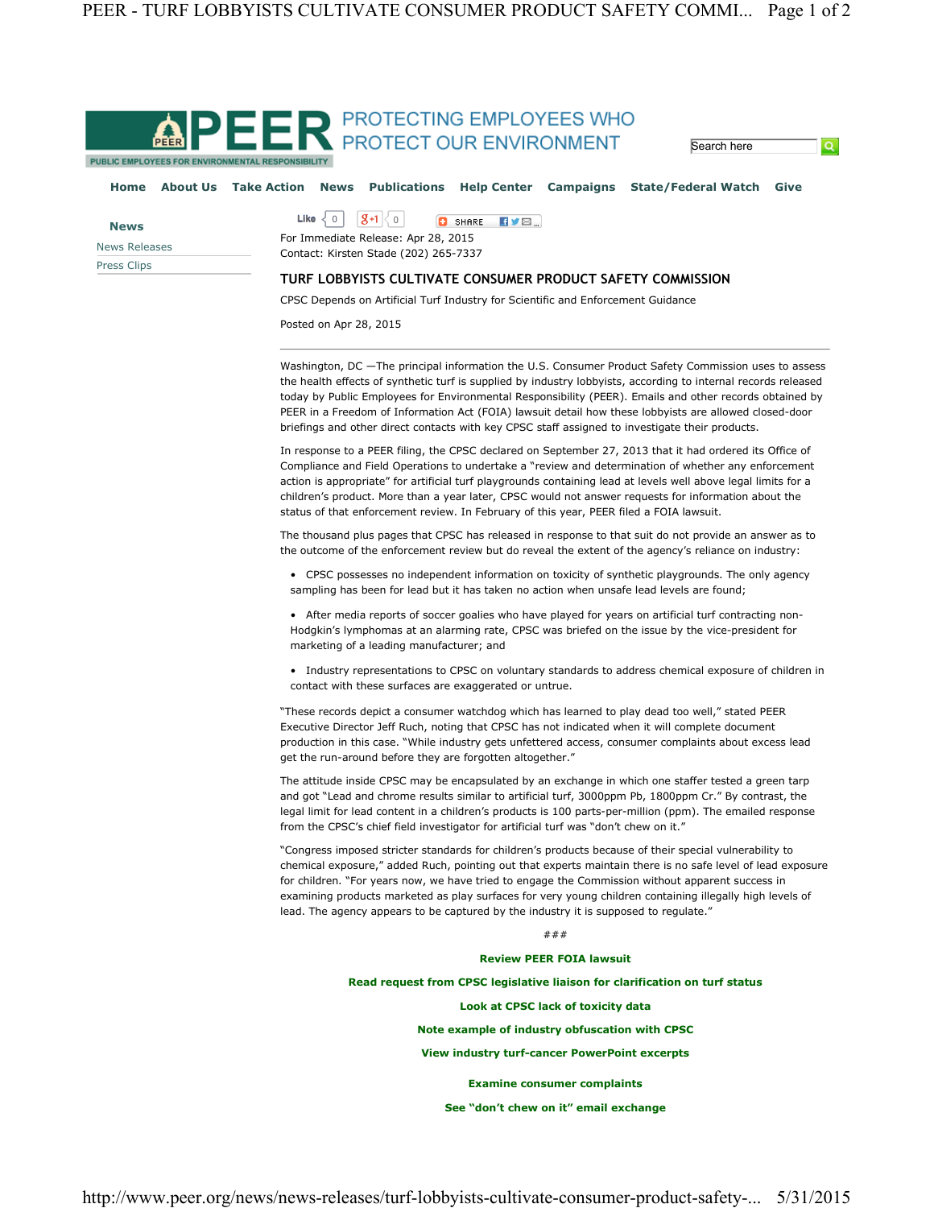

PUBLIC EMPLOYEES FOR ENVIRONMENTAL RESPONSIBILITY

## Home About Us Take Action News Publications Help Center Campaigns State/Federal Watch Give

| <b>News</b>   |
|---------------|
| News Releases |
| Press Clips   |

Like  $\langle 0 | S+1 | 0$ **D** SHARE **HVE** For Immediate Release: Apr 28, 2015

Contact: Kirsten Stade (202) 265-7337

## TURF LOBBYISTS CULTIVATE CONSUMER PRODUCT SAFETY COMMISSION

CPSC Depends on Artificial Turf Industry for Scientific and Enforcement Guidance

Posted on Apr 28, 2015

Washington, DC —The principal information the U.S. Consumer Product Safety Commission uses to assess the health effects of synthetic turf is supplied by industry lobbyists, according to internal records released today by Public Employees for Environmental Responsibility (PEER). Emails and other records obtained by PEER in a Freedom of Information Act (FOIA) lawsuit detail how these lobbyists are allowed closed-door briefings and other direct contacts with key CPSC staff assigned to investigate their products.

**Search here** 

 $\overline{\mathbf{Q}}$ 

In response to a PEER filing, the CPSC declared on September 27, 2013 that it had ordered its Office of Compliance and Field Operations to undertake a "review and determination of whether any enforcement action is appropriate" for artificial turf playgrounds containing lead at levels well above legal limits for a children's product. More than a year later, CPSC would not answer requests for information about the status of that enforcement review. In February of this year, PEER filed a FOIA lawsuit.

The thousand plus pages that CPSC has released in response to that suit do not provide an answer as to the outcome of the enforcement review but do reveal the extent of the agency's reliance on industry:

• CPSC possesses no independent information on toxicity of synthetic playgrounds. The only agency sampling has been for lead but it has taken no action when unsafe lead levels are found;

• After media reports of soccer goalies who have played for years on artificial turf contracting non-Hodgkin's lymphomas at an alarming rate, CPSC was briefed on the issue by the vice-president for marketing of a leading manufacturer; and

• Industry representations to CPSC on voluntary standards to address chemical exposure of children in contact with these surfaces are exaggerated or untrue.

"These records depict a consumer watchdog which has learned to play dead too well," stated PEER Executive Director Jeff Ruch, noting that CPSC has not indicated when it will complete document production in this case. "While industry gets unfettered access, consumer complaints about excess lead get the run-around before they are forgotten altogether."

The attitude inside CPSC may be encapsulated by an exchange in which one staffer tested a green tarp and got "Lead and chrome results similar to artificial turf, 3000ppm Pb, 1800ppm Cr." By contrast, the legal limit for lead content in a children's products is 100 parts-per-million (ppm). The emailed response from the CPSC's chief field investigator for artificial turf was "don't chew on it."

"Congress imposed stricter standards for children's products because of their special vulnerability to chemical exposure," added Ruch, pointing out that experts maintain there is no safe level of lead exposure for children. "For years now, we have tried to engage the Commission without apparent success in examining products marketed as play surfaces for very young children containing illegally high levels of lead. The agency appears to be captured by the industry it is supposed to regulate."

## ###

## Review PEER FOIA lawsuit

Read request from CPSC legislative liaison for clarification on turf status

Look at CPSC lack of toxicity data

Note example of industry obfuscation with CPSC

View industry turf-cancer PowerPoint excerpts

Examine consumer complaints

See "don't chew on it" email exchange